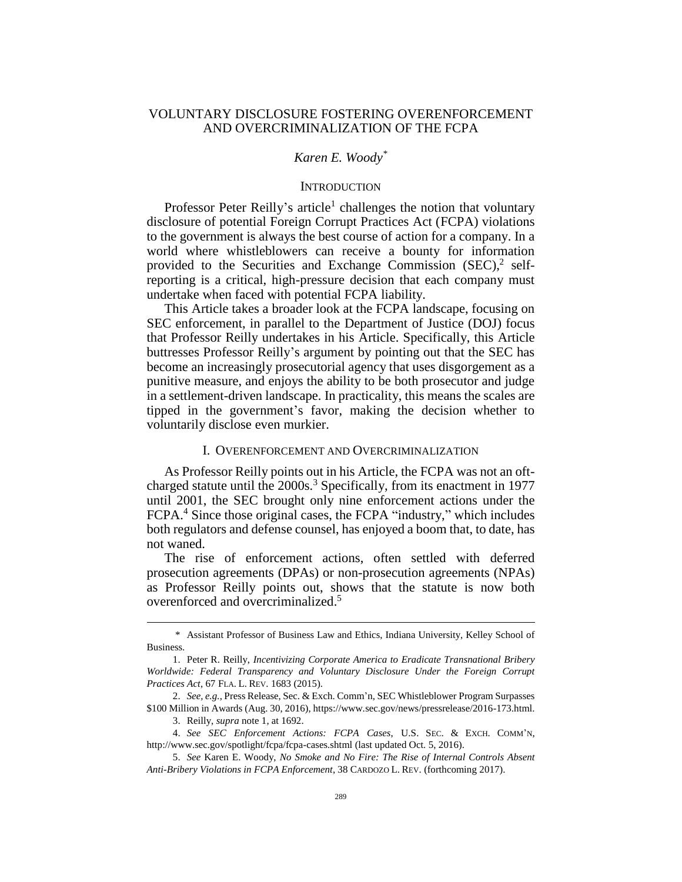## VOLUNTARY DISCLOSURE FOSTERING OVERENFORCEMENT AND OVERCRIMINALIZATION OF THE FCPA

### *Karen E. Woody\**

## <span id="page-0-0"></span>**INTRODUCTION**

Professor Peter Reilly's article<sup>1</sup> challenges the notion that voluntary disclosure of potential Foreign Corrupt Practices Act (FCPA) violations to the government is always the best course of action for a company. In a world where whistleblowers can receive a bounty for information provided to the Securities and Exchange Commission (SEC),<sup>2</sup> selfreporting is a critical, high-pressure decision that each company must undertake when faced with potential FCPA liability.

This Article takes a broader look at the FCPA landscape, focusing on SEC enforcement, in parallel to the Department of Justice (DOJ) focus that Professor Reilly undertakes in his Article. Specifically, this Article buttresses Professor Reilly's argument by pointing out that the SEC has become an increasingly prosecutorial agency that uses disgorgement as a punitive measure, and enjoys the ability to be both prosecutor and judge in a settlement-driven landscape. In practicality, this means the scales are tipped in the government's favor, making the decision whether to voluntarily disclose even murkier.

#### I. OVERENFORCEMENT AND OVERCRIMINALIZATION

As Professor Reilly points out in his Article, the FCPA was not an oftcharged statute until the  $2000s<sup>3</sup>$  Specifically, from its enactment in 1977 until 2001, the SEC brought only nine enforcement actions under the FCPA.<sup>4</sup> Since those original cases, the FCPA "industry," which includes both regulators and defense counsel, has enjoyed a boom that, to date, has not waned.

The rise of enforcement actions, often settled with deferred prosecution agreements (DPAs) or non-prosecution agreements (NPAs) as Professor Reilly points out, shows that the statute is now both overenforced and overcriminalized. 5

<sup>\*</sup> Assistant Professor of Business Law and Ethics, Indiana University, Kelley School of Business.

<sup>1.</sup> Peter R. Reilly, *Incentivizing Corporate America to Eradicate Transnational Bribery Worldwide: Federal Transparency and Voluntary Disclosure Under the Foreign Corrupt Practices Act*, 67 FLA. L. REV. 1683 (2015).

<sup>2.</sup> *See, e.g.*, Press Release, Sec. & Exch. Comm'n, SEC Whistleblower Program Surpasses \$100 Million in Awards (Aug. 30, 2016), https://www.sec.gov/news/pressrelease/2016-173.html.

<sup>3.</sup> Reilly, *supra* note [1,](#page-0-0) at 1692.

<sup>4.</sup> *See SEC Enforcement Actions: FCPA Cases*, U.S. SEC. & EXCH. COMM'N, <http://www.sec.gov/spotlight/fcpa/fcpa-cases.shtml> (last updated Oct. 5, 2016).

<sup>5.</sup> *See* Karen E. Woody, *No Smoke and No Fire: The Rise of Internal Controls Absent Anti-Bribery Violations in FCPA Enforcement*, 38 CARDOZO L. REV. (forthcoming 2017).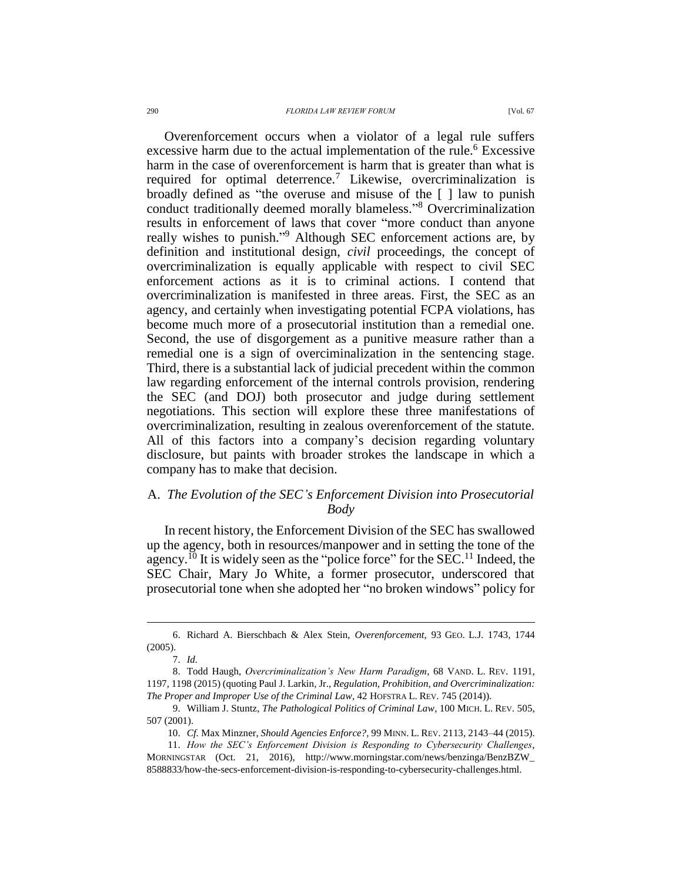#### 290 *FLORIDA LAW REVIEW FORUM* [Vol. 67

Overenforcement occurs when a violator of a legal rule suffers excessive harm due to the actual implementation of the rule.<sup>6</sup> Excessive harm in the case of overenforcement is harm that is greater than what is required for optimal deterrence.<sup>7</sup> Likewise, overcriminalization is broadly defined as "the overuse and misuse of the [ ] law to punish conduct traditionally deemed morally blameless." <sup>8</sup> Overcriminalization results in enforcement of laws that cover "more conduct than anyone really wishes to punish."<sup>9</sup> Although SEC enforcement actions are, by definition and institutional design, *civil* proceedings, the concept of overcriminalization is equally applicable with respect to civil SEC enforcement actions as it is to criminal actions. I contend that overcriminalization is manifested in three areas. First, the SEC as an agency, and certainly when investigating potential FCPA violations, has become much more of a prosecutorial institution than a remedial one. Second, the use of disgorgement as a punitive measure rather than a remedial one is a sign of overciminalization in the sentencing stage. Third, there is a substantial lack of judicial precedent within the common law regarding enforcement of the internal controls provision, rendering the SEC (and DOJ) both prosecutor and judge during settlement negotiations. This section will explore these three manifestations of overcriminalization, resulting in zealous overenforcement of the statute. All of this factors into a company's decision regarding voluntary disclosure, but paints with broader strokes the landscape in which a company has to make that decision.

# A. *The Evolution of the SEC's Enforcement Division into Prosecutorial Body*

<span id="page-1-0"></span>In recent history, the Enforcement Division of the SEC has swallowed up the agency, both in resources/manpower and in setting the tone of the agency.<sup>10</sup> It is widely seen as the "police force" for the SEC.<sup>11</sup> Indeed, the SEC Chair, Mary Jo White, a former prosecutor, underscored that prosecutorial tone when she adopted her "no broken windows" policy for

<sup>6.</sup> Richard A. Bierschbach & Alex Stein, *Overenforcement*, 93 GEO. L.J. 1743, 1744 (2005).

<sup>7.</sup> *Id.* 

<sup>8.</sup> Todd Haugh, *Overcriminalization's New Harm Paradigm*, 68 VAND. L. REV. 1191, 1197, 1198 (2015) (quoting Paul J. Larkin, Jr., *Regulation, Prohibition, and Overcriminalization: The Proper and Improper Use of the Criminal Law*, 42 HOFSTRA L. REV. 745 (2014)).

<sup>9.</sup> William J. Stuntz, *The Pathological Politics of Criminal Law*, 100 MICH. L. REV. 505, 507 (2001).

<sup>10.</sup> *Cf.* Max Minzner, *Should Agencies Enforce?*, 99 MINN. L. REV. 2113, 2143–44 (2015).

<sup>11.</sup> *How the SEC's Enforcement Division is Responding to Cybersecurity Challenges*, MORNINGSTAR (Oct. 21, 2016), http://www.morningstar.com/news/benzinga/BenzBZW\_ 8588833/how-the-secs-enforcement-division-is-responding-to-cybersecurity-challenges.html.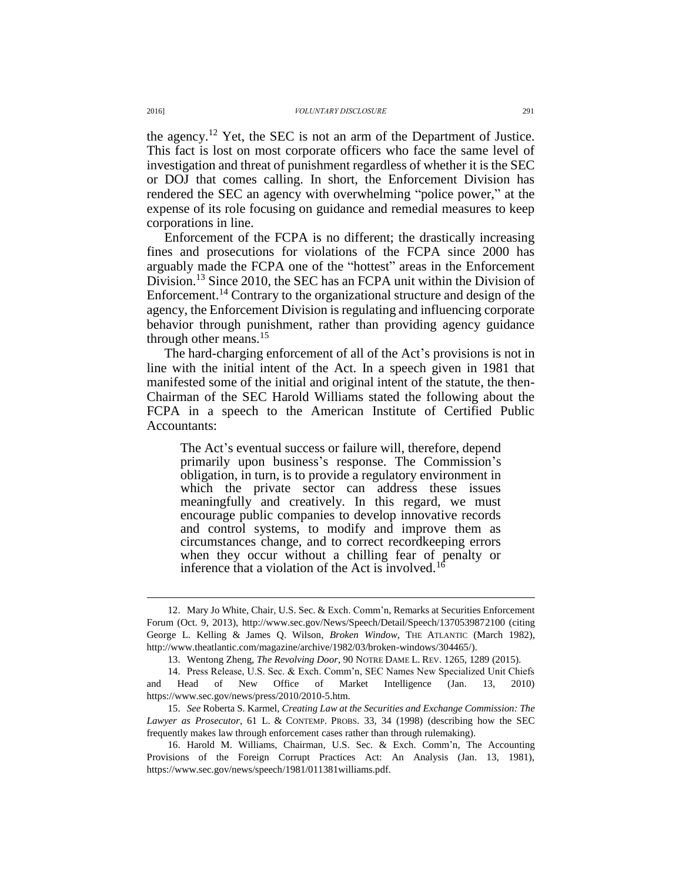the agency.<sup>12</sup> Yet, the SEC is not an arm of the Department of Justice. This fact is lost on most corporate officers who face the same level of investigation and threat of punishment regardless of whether it is the SEC or DOJ that comes calling. In short, the Enforcement Division has rendered the SEC an agency with overwhelming "police power," at the expense of its role focusing on guidance and remedial measures to keep corporations in line.

Enforcement of the FCPA is no different; the drastically increasing fines and prosecutions for violations of the FCPA since 2000 has arguably made the FCPA one of the "hottest" areas in the Enforcement Division.<sup>13</sup> Since 2010, the SEC has an FCPA unit within the Division of Enforcement.<sup>14</sup> Contrary to the organizational structure and design of the agency, the Enforcement Division is regulating and influencing corporate behavior through punishment, rather than providing agency guidance through other means. $15$ 

The hard-charging enforcement of all of the Act's provisions is not in line with the initial intent of the Act. In a speech given in 1981 that manifested some of the initial and original intent of the statute, the then-Chairman of the SEC Harold Williams stated the following about the FCPA in a speech to the American Institute of Certified Public Accountants:

The Act's eventual success or failure will, therefore, depend primarily upon business's response. The Commission's obligation, in turn, is to provide a regulatory environment in which the private sector can address these issues meaningfully and creatively. In this regard, we must encourage public companies to develop innovative records and control systems, to modify and improve them as circumstances change, and to correct recordkeeping errors when they occur without a chilling fear of penalty or inference that a violation of the Act is involved.<sup>16</sup>

<sup>12.</sup> Mary Jo White, Chair, U.S. Sec. & Exch. Comm'n, Remarks at Securities Enforcement Forum (Oct. 9, 2013), http://www.sec.gov/News/Speech/Detail/Speech/1370539872100 (citing George L. Kelling & James Q. Wilson, *Broken Window*, THE ATLANTIC (March 1982), http://www.theatlantic.com/magazine/archive/1982/03/broken-windows/304465/).

<sup>13.</sup> Wentong Zheng, *The Revolving Door*, 90 NOTRE DAME L. REV. 1265, 1289 (2015).

<sup>14.</sup> Press Release, U.S. Sec. & Exch. Comm'n, SEC Names New Specialized Unit Chiefs and Head of New Office of Market Intelligence (Jan. 13, 2010) https://www.sec.gov/news/press/2010/2010-5.htm.

<sup>15.</sup> *See* Roberta S. Karmel, *Creating Law at the Securities and Exchange Commission: The Lawyer as Prosecutor*, 61 L. & CONTEMP. PROBS. 33, 34 (1998) (describing how the SEC frequently makes law through enforcement cases rather than through rulemaking).

<sup>16.</sup> Harold M. Williams, Chairman, U.S. Sec. & Exch. Comm'n, The Accounting Provisions of the Foreign Corrupt Practices Act: An Analysis (Jan. 13, 1981), https://www.sec.gov/news/speech/1981/011381williams.pdf.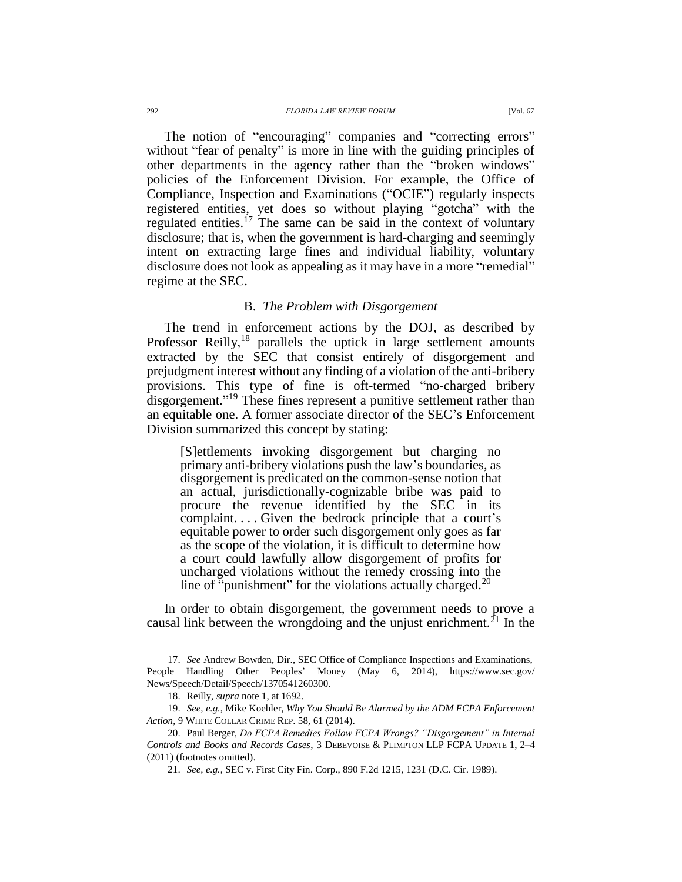The notion of "encouraging" companies and "correcting errors" without "fear of penalty" is more in line with the guiding principles of other departments in the agency rather than the "broken windows" policies of the Enforcement Division. For example, the Office of Compliance, Inspection and Examinations ("OCIE") regularly inspects registered entities, yet does so without playing "gotcha" with the regulated entities.<sup>17</sup> The same can be said in the context of voluntary disclosure; that is, when the government is hard-charging and seemingly intent on extracting large fines and individual liability, voluntary disclosure does not look as appealing as it may have in a more "remedial" regime at the SEC.

## B. *The Problem with Disgorgement*

The trend in enforcement actions by the DOJ, as described by Professor Reilly, $^{18}$  parallels the uptick in large settlement amounts extracted by the SEC that consist entirely of disgorgement and prejudgment interest without any finding of a violation of the anti-bribery provisions. This type of fine is oft-termed "no-charged bribery disgorgement."<sup>19</sup> These fines represent a punitive settlement rather than an equitable one. A former associate director of the SEC's Enforcement Division summarized this concept by stating:

[S]ettlements invoking disgorgement but charging no primary anti-bribery violations push the law's boundaries, as disgorgement is predicated on the common-sense notion that an actual, jurisdictionally-cognizable bribe was paid to procure the revenue identified by the SEC in its complaint. . . . Given the bedrock principle that a court's equitable power to order such disgorgement only goes as far as the scope of the violation, it is difficult to determine how a court could lawfully allow disgorgement of profits for uncharged violations without the remedy crossing into the line of "punishment" for the violations actually charged.<sup>20</sup>

In order to obtain disgorgement, the government needs to prove a causal link between the wrongdoing and the unjust enrichment.<sup>21</sup> In the

<sup>17.</sup> *See* Andrew Bowden, Dir., SEC Office of Compliance Inspections and Examinations, People Handling Other Peoples' Money (May 6, 2014), https://www.sec.gov/ News/Speech/Detail/Speech/1370541260300.

<sup>18.</sup> Reilly, *supra* note [1,](#page-0-0) at 1692.

<sup>19.</sup> *See, e.g.*, Mike Koehler, *Why You Should Be Alarmed by the ADM FCPA Enforcement Action*, 9 WHITE COLLAR CRIME REP. 58, 61 (2014).

<sup>20.</sup> Paul Berger, *Do FCPA Remedies Follow FCPA Wrongs? "Disgorgement" in Internal Controls and Books and Records Cases*, 3 DEBEVOISE & PLIMPTON LLP FCPA UPDATE 1, 2–4 (2011) (footnotes omitted).

<sup>21.</sup> *See, e.g.*, SEC v. First City Fin. Corp., 890 F.2d 1215, 1231 (D.C. Cir. 1989).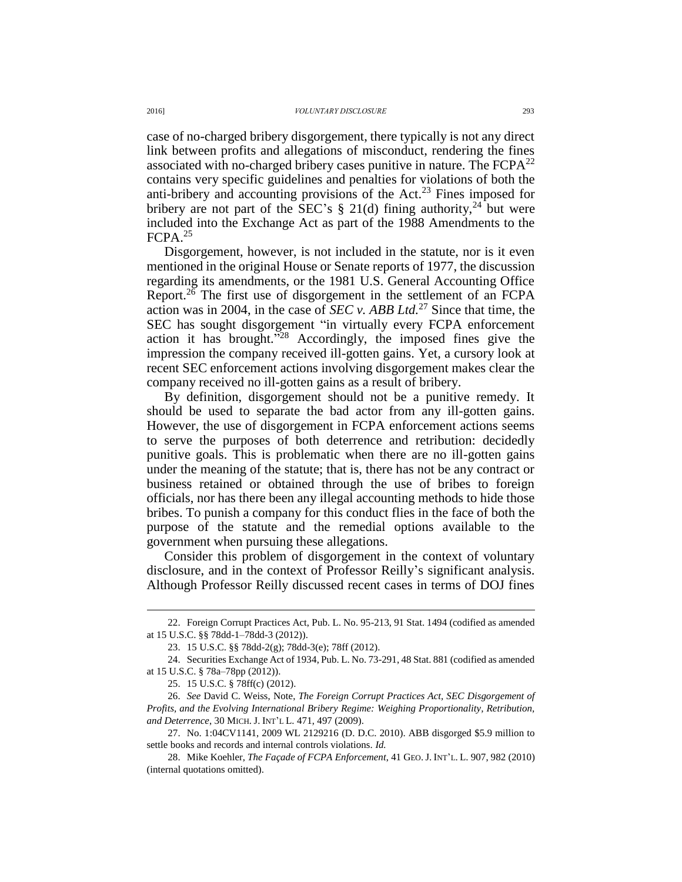case of no-charged bribery disgorgement, there typically is not any direct link between profits and allegations of misconduct, rendering the fines associated with no-charged bribery cases punitive in nature. The  $FCPA^{22}$ contains very specific guidelines and penalties for violations of both the anti-bribery and accounting provisions of the Act.<sup>23</sup> Fines imposed for bribery are not part of the SEC's  $\S$  21(d) fining authority,<sup>24</sup> but were included into the Exchange Act as part of the 1988 Amendments to the FCPA.<sup>25</sup>

Disgorgement, however, is not included in the statute, nor is it even mentioned in the original House or Senate reports of 1977, the discussion regarding its amendments, or the 1981 U.S. General Accounting Office Report.<sup>26</sup> The first use of disgorgement in the settlement of an FCPA action was in 2004, in the case of *SEC v. ABB Ltd.*<sup>27</sup> Since that time, the SEC has sought disgorgement "in virtually every FCPA enforcement action it has brought."<sup>28</sup> Accordingly, the imposed fines give the impression the company received ill-gotten gains. Yet, a cursory look at recent SEC enforcement actions involving disgorgement makes clear the company received no ill-gotten gains as a result of bribery.

By definition, disgorgement should not be a punitive remedy. It should be used to separate the bad actor from any ill-gotten gains. However, the use of disgorgement in FCPA enforcement actions seems to serve the purposes of both deterrence and retribution: decidedly punitive goals. This is problematic when there are no ill-gotten gains under the meaning of the statute; that is, there has not be any contract or business retained or obtained through the use of bribes to foreign officials, nor has there been any illegal accounting methods to hide those bribes. To punish a company for this conduct flies in the face of both the purpose of the statute and the remedial options available to the government when pursuing these allegations.

Consider this problem of disgorgement in the context of voluntary disclosure, and in the context of Professor Reilly's significant analysis. Although Professor Reilly discussed recent cases in terms of DOJ fines

<sup>22.</sup> Foreign Corrupt Practices Act, Pub. L. No. 95-213, 91 Stat. 1494 (codified as amended at 15 U.S.C. §§ 78dd-1–78dd-3 (2012)).

<sup>23.</sup> 15 U.S.C. §§ 78dd-2(g); 78dd-3(e); 78ff (2012).

<sup>24.</sup> Securities Exchange Act of 1934, Pub. L. No. 73-291, 48 Stat. 881 (codified as amended at 15 U.S.C. § 78a–78pp (2012)).

<sup>25.</sup> 15 U.S.C. § 78ff(c) (2012).

<sup>26.</sup> *See* David C. Weiss, Note, *The Foreign Corrupt Practices Act, SEC Disgorgement of Profits, and the Evolving International Bribery Regime: Weighing Proportionality, Retribution, and Deterrence*, 30 MICH. J. INT'L L. 471, 497 (2009).

<sup>27.</sup> No. 1:04CV1141, 2009 WL 2129216 (D. D.C. 2010). ABB disgorged \$5.9 million to settle books and records and internal controls violations. *Id.* 

<sup>28.</sup> Mike Koehler, *The Façade of FCPA Enforcement*, 41 GEO.J. INT'L. L. 907, 982 (2010) (internal quotations omitted).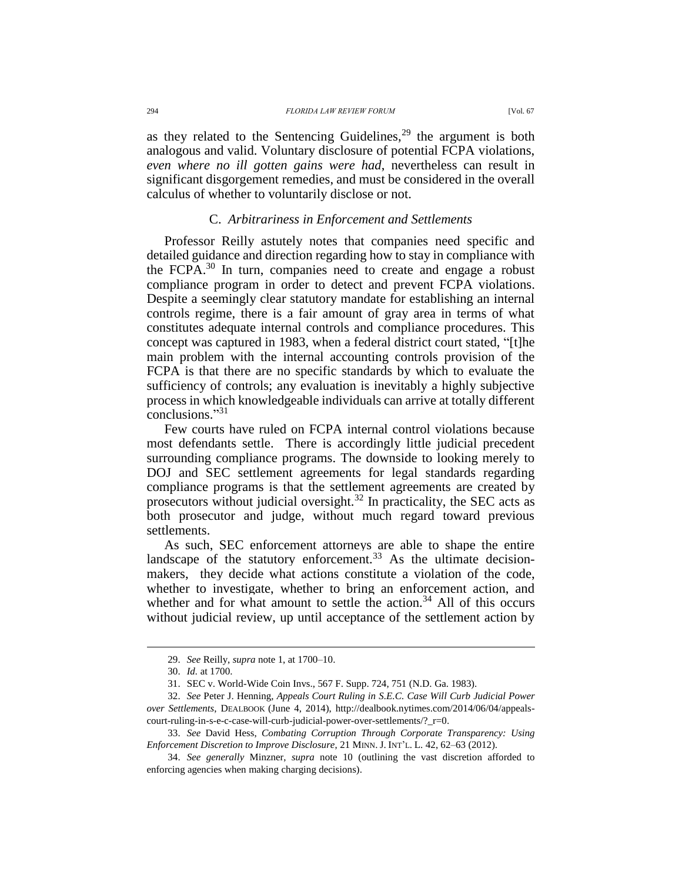as they related to the Sentencing Guidelines,  $29$  the argument is both analogous and valid. Voluntary disclosure of potential FCPA violations, *even where no ill gotten gains were had*, nevertheless can result in significant disgorgement remedies, and must be considered in the overall calculus of whether to voluntarily disclose or not.

## C. *Arbitrariness in Enforcement and Settlements*

Professor Reilly astutely notes that companies need specific and detailed guidance and direction regarding how to stay in compliance with the FCPA.<sup>30</sup> In turn, companies need to create and engage a robust compliance program in order to detect and prevent FCPA violations. Despite a seemingly clear statutory mandate for establishing an internal controls regime, there is a fair amount of gray area in terms of what constitutes adequate internal controls and compliance procedures. This concept was captured in 1983, when a federal district court stated, "[t]he main problem with the internal accounting controls provision of the FCPA is that there are no specific standards by which to evaluate the sufficiency of controls; any evaluation is inevitably a highly subjective process in which knowledgeable individuals can arrive at totally different conclusions."<sup>31</sup>

Few courts have ruled on FCPA internal control violations because most defendants settle. There is accordingly little judicial precedent surrounding compliance programs. The downside to looking merely to DOJ and SEC settlement agreements for legal standards regarding compliance programs is that the settlement agreements are created by prosecutors without judicial oversight.<sup>32</sup> In practicality, the SEC acts as both prosecutor and judge, without much regard toward previous settlements.

As such, SEC enforcement attorneys are able to shape the entire landscape of the statutory enforcement.<sup>33</sup> As the ultimate decisionmakers, they decide what actions constitute a violation of the code, whether to investigate, whether to bring an enforcement action, and whether and for what amount to settle the action. $34$  All of this occurs without judicial review, up until acceptance of the settlement action by

<sup>29.</sup> *See* Reilly, *supra* note [1,](#page-0-0) at 1700–10.

<sup>30.</sup> *Id.* at 1700.

<sup>31.</sup> SEC v. World-Wide Coin Invs., 567 F. Supp. 724, 751 (N.D. Ga. 1983).

<sup>32.</sup> *See* Peter J. Henning, *Appeals Court Ruling in S.E.C. Case Will Curb Judicial Power over Settlements*, DEALBOOK (June 4, 2014), http://dealbook.nytimes.com/2014/06/04/appealscourt-ruling-in-s-e-c-case-will-curb-judicial-power-over-settlements/?\_r=0.

<sup>33.</sup> *See* David Hess, *Combating Corruption Through Corporate Transparency: Using Enforcement Discretion to Improve Disclosure*, 21 MINN. J. INT'L. L. 42, 62–63 (2012).

<sup>34.</sup> *See generally* Minzner, *supra* note [10](#page-1-0) (outlining the vast discretion afforded to enforcing agencies when making charging decisions).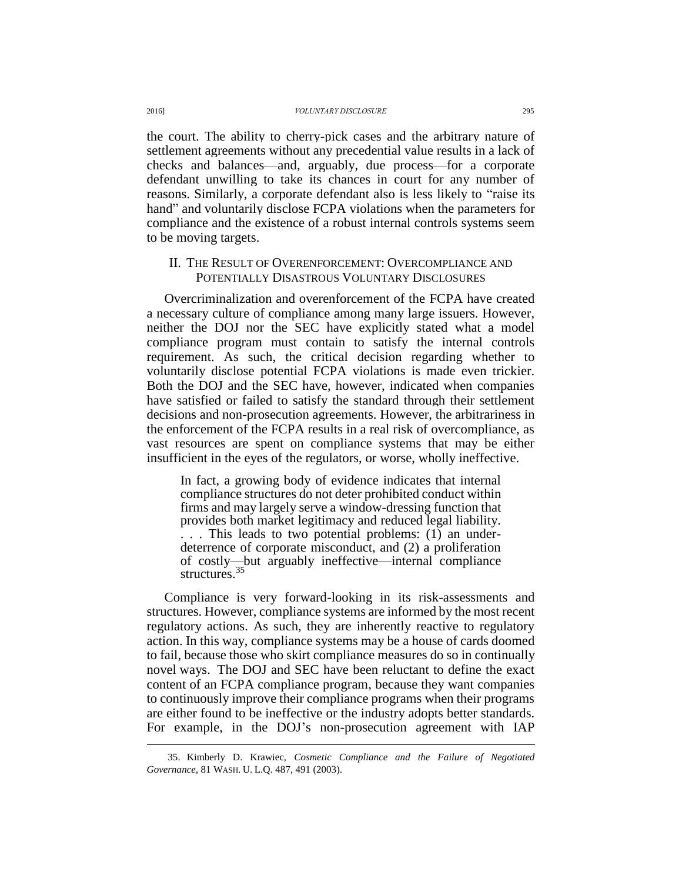the court. The ability to cherry-pick cases and the arbitrary nature of settlement agreements without any precedential value results in a lack of checks and balances—and, arguably, due process—for a corporate defendant unwilling to take its chances in court for any number of reasons. Similarly, a corporate defendant also is less likely to "raise its hand" and voluntarily disclose FCPA violations when the parameters for compliance and the existence of a robust internal controls systems seem to be moving targets.

## II. THE RESULT OF OVERENFORCEMENT: OVERCOMPLIANCE AND POTENTIALLY DISASTROUS VOLUNTARY DISCLOSURES

Overcriminalization and overenforcement of the FCPA have created a necessary culture of compliance among many large issuers. However, neither the DOJ nor the SEC have explicitly stated what a model compliance program must contain to satisfy the internal controls requirement. As such, the critical decision regarding whether to voluntarily disclose potential FCPA violations is made even trickier. Both the DOJ and the SEC have, however, indicated when companies have satisfied or failed to satisfy the standard through their settlement decisions and non-prosecution agreements. However, the arbitrariness in the enforcement of the FCPA results in a real risk of overcompliance, as vast resources are spent on compliance systems that may be either insufficient in the eyes of the regulators, or worse, wholly ineffective.

In fact, a growing body of evidence indicates that internal compliance structures do not deter prohibited conduct within firms and may largely serve a window-dressing function that provides both market legitimacy and reduced legal liability. . . . This leads to two potential problems: (1) an underdeterrence of corporate misconduct, and (2) a proliferation of costly—but arguably ineffective—internal compliance structures.<sup>35</sup>

Compliance is very forward-looking in its risk-assessments and structures. However, compliance systems are informed by the most recent regulatory actions. As such, they are inherently reactive to regulatory action. In this way, compliance systems may be a house of cards doomed to fail, because those who skirt compliance measures do so in continually novel ways. The DOJ and SEC have been reluctant to define the exact content of an FCPA compliance program, because they want companies to continuously improve their compliance programs when their programs are either found to be ineffective or the industry adopts better standards. For example, in the DOJ's non-prosecution agreement with IAP

<sup>35.</sup> Kimberly D. Krawiec, *Cosmetic Compliance and the Failure of Negotiated Governance*, 81 WASH. U. L.Q. 487, 491 (2003).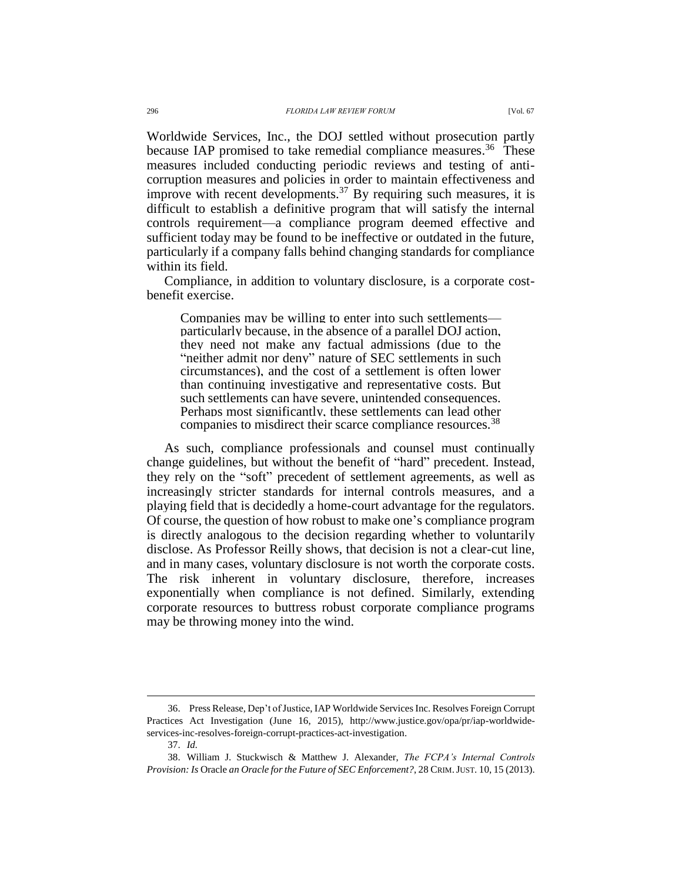Worldwide Services, Inc., the DOJ settled without prosecution partly because IAP promised to take remedial compliance measures.<sup>36</sup> These measures included conducting periodic reviews and testing of anticorruption measures and policies in order to maintain effectiveness and improve with recent developments.<sup>37</sup> By requiring such measures, it is difficult to establish a definitive program that will satisfy the internal

controls requirement—a compliance program deemed effective and sufficient today may be found to be ineffective or outdated in the future, particularly if a company falls behind changing standards for compliance within its field.

Compliance, in addition to voluntary disclosure, is a corporate costbenefit exercise.

Companies may be willing to enter into such settlements particularly because, in the absence of a parallel DOJ action, they need not make any factual admissions (due to the "neither admit nor deny" nature of SEC settlements in such circumstances), and the cost of a settlement is often lower than continuing investigative and representative costs. But such settlements can have severe, unintended consequences. Perhaps most significantly, these settlements can lead other companies to misdirect their scarce compliance resources.<sup>38</sup>

As such, compliance professionals and counsel must continually change guidelines, but without the benefit of "hard" precedent. Instead, they rely on the "soft" precedent of settlement agreements, as well as increasingly stricter standards for internal controls measures, and a playing field that is decidedly a home-court advantage for the regulators. Of course, the question of how robust to make one's compliance program is directly analogous to the decision regarding whether to voluntarily disclose. As Professor Reilly shows, that decision is not a clear-cut line, and in many cases, voluntary disclosure is not worth the corporate costs. The risk inherent in voluntary disclosure, therefore, increases exponentially when compliance is not defined. Similarly, extending corporate resources to buttress robust corporate compliance programs may be throwing money into the wind.

<sup>36.</sup> Press Release, Dep't of Justice, IAP Worldwide Services Inc. Resolves Foreign Corrupt Practices Act Investigation (June 16, 2015), http://www.justice.gov/opa/pr/iap-worldwideservices-inc-resolves-foreign-corrupt-practices-act-investigation.

<sup>37.</sup> *Id.*

<sup>38.</sup> William J. Stuckwisch & Matthew J. Alexander, *The FCPA's Internal Controls Provision: Is* Oracle *an Oracle for the Future of SEC Enforcement?*, 28 CRIM.JUST. 10, 15 (2013).